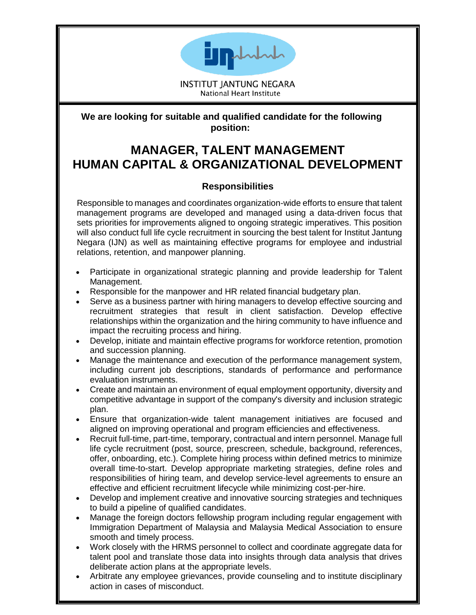

**INSTITUT IANTUNG NEGARA** National Heart Institute

## **We are looking for suitable and qualified candidate for the following position:**

# **MANAGER, TALENT MANAGEMENT HUMAN CAPITAL & ORGANIZATIONAL DEVELOPMENT**

## **Responsibilities**

Responsible to manages and coordinates organization-wide efforts to ensure that talent management programs are developed and managed using a data-driven focus that sets priorities for improvements aligned to ongoing strategic imperatives. This position will also conduct full life cycle recruitment in sourcing the best talent for Institut Jantung Negara (IJN) as well as maintaining effective programs for employee and industrial relations, retention, and manpower planning.

- Participate in organizational strategic planning and provide leadership for Talent Management.
- Responsible for the manpower and HR related financial budgetary plan.
- Serve as a business partner with hiring managers to develop effective sourcing and recruitment strategies that result in client satisfaction. Develop effective relationships within the organization and the hiring community to have influence and impact the recruiting process and hiring.
- Develop, initiate and maintain effective programs for workforce retention, promotion and succession planning.
- Manage the maintenance and execution of the performance management system, including current job descriptions, standards of performance and performance evaluation instruments.
- Create and maintain an environment of equal employment opportunity, diversity and competitive advantage in support of the company's diversity and inclusion strategic plan.
- Ensure that organization-wide talent management initiatives are focused and aligned on improving operational and program efficiencies and effectiveness.
- Recruit full-time, part-time, temporary, contractual and intern personnel. Manage full life cycle recruitment (post, source, prescreen, schedule, background, references, offer, onboarding, etc.). Complete hiring process within defined metrics to minimize overall time-to-start. Develop appropriate marketing strategies, define roles and responsibilities of hiring team, and develop service-level agreements to ensure an effective and efficient recruitment lifecycle while minimizing cost-per-hire.
- Develop and implement creative and innovative sourcing strategies and techniques to build a pipeline of qualified candidates.
- Manage the foreign doctors fellowship program including regular engagement with Immigration Department of Malaysia and Malaysia Medical Association to ensure smooth and timely process.
- Work closely with the HRMS personnel to collect and coordinate aggregate data for talent pool and translate those data into insights through data analysis that drives deliberate action plans at the appropriate levels.
- Arbitrate any employee grievances, provide counseling and to institute disciplinary action in cases of misconduct.